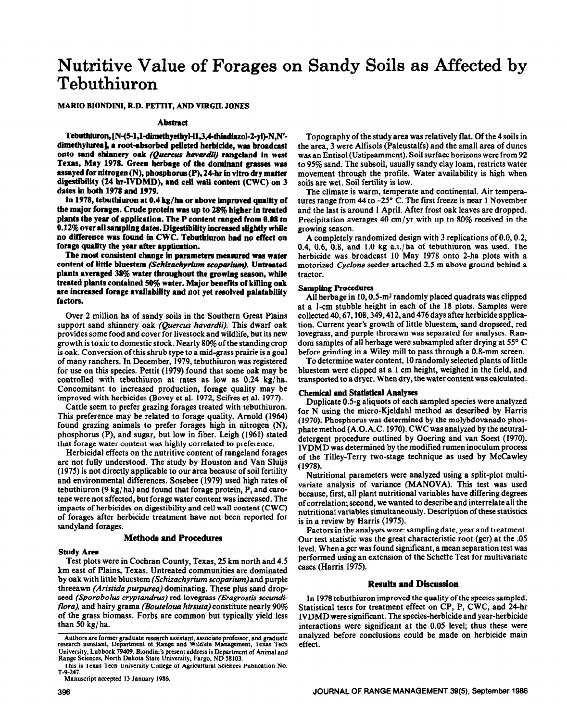# Nutritive Value of Forages on Sandy Soils as Affected by **Tebuthiuron**

# MARIO BIONDINI, **R.D. PETTIT, AND VIRGIL JONES**

#### **Abstract**

Tebuthiuron, [N-(5-1,1-dimethyethyl-l1,3,4-thiadiazol-2-yl)-N,N'**dimethylureaj, a root-absorbed peiieted herbicide, was broadcast onto sand shinnery oak (Quercus** *havardii)* **rangeiand in west**  Texas, May 1978. Green herbage of the dominant grasses was **assayed for nitrogen (N), phosphorus(P), 24hr in vitro dry matter digestibility (24 hr-IVDMD), and ceil waii content (CWC) on 3 dates in both 1978 and 1979.** 

**ln 1978, tebuthiuron at 0.4 kg/ha or above improved quality of the major forages. Crude protein was up to 28% higher in treated plants the year of application. The P content ranged from 0.08 to 0.12% over all sampling dates. Digestibiiity increased slightly while no difference was found in CWC. Tebuthiuron had no effect on forage quaiity the year after application.** 

**The most consistent change in parameters measured was water content of little bluestem** *(Schikachyrium scaparium).* **Untreated plants averaged 38% water throughout the growing season, while treated piants contained 50% water. Major benefits of killing oak are increased forage availability and not yet resolved palatability factors.** 

**Over 2** million ha of sandy soils in the Southern Great Plains support sand shinnery oak (Quercus *havardii).* This dwarf oak provides some food and cover for livestockand wildlife, but its new growth is toxic to domestic stock. Nearly 80% of the standing crop is oak. Conversion of this shrub type to a mid-grass prairie is a goal of many ranchers. In December, 1979, tebuthiuron was registered for use on this species. Pettit (1979) found that some oak may be controlled with tebuthiuron at rates as low as 0.24 kg/ha. Concomitant to increased production, forage quality may be improved with herbicides (Bovey et al. 1972, Scifres et al. 1977).

Cattle seem to prefer grazing forages treated with tebuthiuron. This preference may be related to forage quality. Arnold (1964) found grazing animals to prefer forages high in nitrogen (N), phosphorus (P), and sugar, but low in fiber. Leigh (1961) stated that forage water content was highly correlated to preference.

Herbicidal effects on the nutritive content of rangeland forages are not fully understood. The study by Houston and Van Sluijs (1975) is not directly applicable to our area because of soil fertility and environmental differences. Sosebee (1979) used high rates of tebuthiuron (9 kg/ ha) and found that forage protein, P, and carotene were not affected, but forage water content was increased. The impacts of herbicides on digestibility and cell wall content (CWC) of forages after herbicide treatment have not been reported for sandyland forages.

# **Methods and Procedures**

#### **Study Area**

Test plots were in Cochran County, Texas, 25 km north and 4.5 km east of Plains, Texas. Untreated communities are dominated by oak with little bluestem *(Schizachyrium scoparium)and* purple threeawn *(Aristida purpurea)* dominating. These plus sand dropseed *(Sporobolus cryptandrus)* red lovegrass *(Eragrostis secundiflora),* and hairy grama (Bouteloua *hirsuta)* constitute nearly 90% of the grass biomass. Forbs are common but typically yield less than 50 kg/ha.

**Manuscript accepted 13 January 1986.** 

Topography of the study area was relatively flat. Of the 4 soils in the area, 3 were Alfisols (Paleustalfs) and the small area of dunes was an Entisol (Ustipsamment). Soil surface horizons were from 92 to 95% sand. The subsoil, usually sandy clay loam, restricts water movement through the profile. Water availability is high when soils are wet. Soil fertility is low.

The climate is warm, temperate and continental. Air temperatures range from 44 to  $-25^{\circ}$  C. The first freeze is near 1 November and the last is around 1 April. After frost oak leaves are dropped. Precipitation averages 40 cm/yr with up to 80% received in the growing season.

A completely randomized design with 3 replications of 0.0,0.2, 0.4, 0.6, 0.8, and 1.0 kg a.i./ha of tebuthiuron was used. The herbicide was broadcast 10 May 1978 onto 2-ha plots with a motorized *Cyclone* seeder attached 2.5 m above ground behind a tractor.

#### **Sampling Procedures**

All herbage in 10, 0.5-m2 randomly placed quadrats was clipped at a i-cm stubble height in each of the 18 plots. Samples were collected 40,67,108,349,412, and 476 days after herbicide applica**tion. Current** year's growth of little bluestem, sand dropseed, red lovegrass, and purple threeawn was separated for analyses. Random samples of all herbage were subsampled after drying at 55' C before grinding in a Wiley mill to pass through a 0.8-mm screen.

To determine water content, 10 randomly selected plants of little bluestem were clipped at a 1 cm height, weighed in the field, and transported to adryer. Whendry, the water content wascalculated.

#### **Chemical and Statistical Analyses**

Duplicate 0.5-g aliquots of each sampled species were analyzed for N using the micro-Kjeldahl method as described by Harris (1970). Phosphorus was determined by the molybdovanado phosphate method (A.O.A.C. 1970). CWC was analyzed by the neutraldetergent procedure outlined by Goering and van Soest (1970). IVDMD was determined by the modified rumen inoculum process of the Tilley-Terry two-stage technique as used by McCawley (1978).

Nutritional parameters were analyzed using a split-plot multivariate analysis of variance (MANOVA). This test was used because, first, all plant nutritional variables have differing degrees of correlation; second, we wanted to describe and interrelate all the nutritional variables simultaneously. Description of these statistics is in a review by Harris (1975).

Factors in the analyses were: sampling date, year and treatment. Our test statistic was the great characteristic root (gcr) at the .05 level. When a gcr was found significant, a mean separation test was performed using an extension of the Scheffe Test for multivariate cases (Harris 1975).

# **Results and Discussion**

In 1978 tebuthiuron improved the quality of the species sampled. Statistical tests for treatment effect on CP, P, CWC, and 24-hr **IVDMD were** significant. The species-herbicide and year-herbicide interactions were significant at the 0.05 level; thus these were analyzed before conclusions could be made on herbicide main effect.

**Authors are former graduate research assistant, associate professor, and graduate research assistant, Department of Range and Wildlife Management, Texas Tech University, Lubbock 79409. Biondini's present address is Department of Animal and Range Sciences, North Dakota State University, Fargo, ND 58103.** 

**This is Texas Tech University College of Agricultural Sciences Publication No. T-9-247.**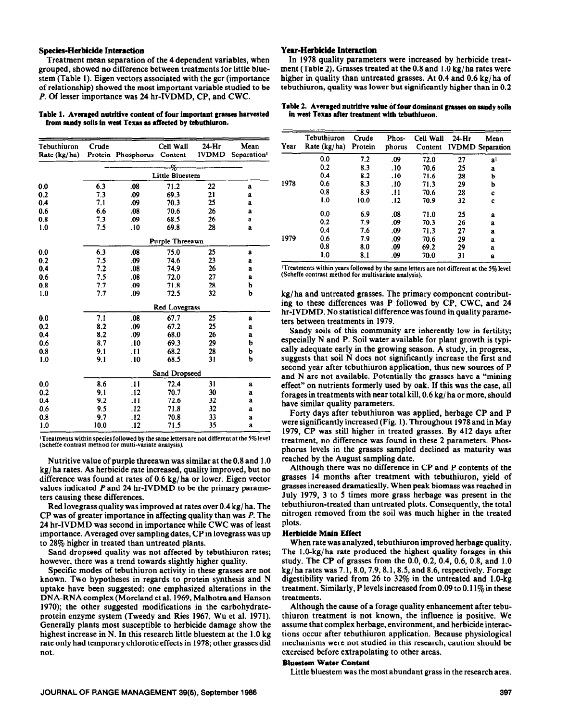#### **Species-Herbicide Interaction Year-Herbicide Interaction**

Treatment mean separation of the 4 dependent variables, when grouped, showed no difference between treatments for little bluestem (Table 1). Eigen vectors associated with the gcr (importance of relationship) showed the most important variable studied to be *P.* Of lesser importance was 24 hr-IVDMD, CP, and CWC.

#### Table **1. Averaged nutritive content of four important grasses harvested**  from sandy soils in west **Texas as affected** by tebuthiuron.

| Tebuthiuron<br>Rate (kg/ha) | Crude                | Protein Phosphorus | Cell Wall<br>Content | $24-Hr$<br><b>IVDMD</b> | Mean<br>Separation <sup>1</sup> |  |  |  |  |
|-----------------------------|----------------------|--------------------|----------------------|-------------------------|---------------------------------|--|--|--|--|
|                             |                      |                    |                      |                         |                                 |  |  |  |  |
|                             | %<br>Little Bluestem |                    |                      |                         |                                 |  |  |  |  |
| 0.0                         | 6.3                  | .08                | 71.2                 | 22                      | a                               |  |  |  |  |
| 0.2                         | 7.3                  | .09                | 69.3                 | 21                      | a                               |  |  |  |  |
| 0.4                         | 7.1                  | .09                | 70.3                 | 25                      | a                               |  |  |  |  |
| 0.6                         | 6.6                  | .08                | 70.6                 | 26                      | a                               |  |  |  |  |
| 0.8                         | 7.3                  | .09                | 68.5                 | 26                      | a                               |  |  |  |  |
| 1.0                         | 7.5                  | .10                | 69.8                 | 28                      | a                               |  |  |  |  |
|                             | Purple Threeawn      |                    |                      |                         |                                 |  |  |  |  |
| 0.0                         | 6.3                  | .08                | 75.0                 | 25                      | a                               |  |  |  |  |
| 0.2                         | 7.5                  | .09                | 74.6                 | 23                      | a                               |  |  |  |  |
| 0.4                         | 7.2                  | .08                | 74.9                 | 26                      | a                               |  |  |  |  |
| 0.6                         | 7.5                  | .08                | 72.0                 | 27                      | a                               |  |  |  |  |
| 0.8                         | 7.7                  | .09                | 71.8                 | 28                      | b                               |  |  |  |  |
| 1.0                         | 7.7                  | .09                | 72.5                 | 32                      | b                               |  |  |  |  |
|                             | Red Lovegrass        |                    |                      |                         |                                 |  |  |  |  |
| 0.0                         | 7.1                  | .08                | 67.7                 | 25                      | a                               |  |  |  |  |
| 0.2                         | 8.2                  | .09                | 67.2                 | 25                      | a                               |  |  |  |  |
| 0.4                         | 8.2                  | .09                | 68.0                 | 26                      | a                               |  |  |  |  |
| 0.6                         | 8.7                  | .10                | 69.3                 | 29                      | b                               |  |  |  |  |
| 0.8                         | 9.1                  | .11                | 68.2                 | 28                      | b                               |  |  |  |  |
| 1.0                         | 9.1                  | .10                | 68.5                 | 31                      | b                               |  |  |  |  |
|                             | Sand Dropseed        |                    |                      |                         |                                 |  |  |  |  |
| 0.0                         | 8.6                  | .11                | 72.4                 | 31                      | a                               |  |  |  |  |
| 0.2                         | 9.1                  | .12                | 70.7                 | 30                      | a                               |  |  |  |  |
| 0.4                         | 9.2                  | .11                | 72.6                 | 32                      | a                               |  |  |  |  |
| 0.6                         | 9.5                  | .12                | 71.8                 | 32                      | a                               |  |  |  |  |
| 0.8                         | 9.7                  | .12                | 70.8                 | 33                      | a                               |  |  |  |  |
| 1.0                         | 10.0                 | .12                | 71.5                 | 35                      | a                               |  |  |  |  |

**'Treatments within species followed by the same letters are not different at the 5% level (Scheffe contrast method for multi-variate analysis).** 

Nutritive value of purple threeawn was similar at the 0.8 and 1.0 kg/ ha rates. As herbicide rate increased, quality improved, but no difference was found at rates of 0.6 kg/ ha or lower. Eigen vector values indicated *P* and 24 hr-IVDMD to be the primary parameters causing these differences.

Red lovegrass quality was improved at rates over 0.4 kg/ ha. The CP was of greater importance in affecting quality than was *P.* The 24 hr-IVDMD was second in importance while CWC was of least importance. Averaged over sampling dates, CP in lovegrass was up to 28% higher in treated than untreated plants.

Sand dropseed quality was not affected by tebuthiuron rates; however, there was a trend towards slightly higher quality.

Specific modes of tebuthiuron activity in these grasses are not known. Two hypotheses in regards to protein synthesis and N uptake have been suggested: one emphasized alterations in the DNA-RNAcomplex (Moreland et al. 1969, Malhotra and Hanson 1970); the other suggested modifications in the carbohydrateprotein enzyme system (Tweedy and Ries 1967, Wu et al. 1971). Generally plants most susceptible to herbicide damage show the highest increase in N. In this research little bluestem at the 1.0 kg rate only had temporary chlorotic effects in 1978; other grasses did not.

In 1978 quality parameters were increased by herbicide treatment (Table 2). Grasses treated at the 0.8 and 1 .O kg/ ha rates were higher in quality than untreated grasses. At 0.4 and 0.6 kg/ha of tebuthiuron, quality was lower but significantly higher than in 0.2

#### Table 2. Averaged nutritive value of four dominant grasses on sandy soils **in west** Texas **after treatment with tebuthiuron.**

| Year | Tebuthiuron<br>Rate $(kg/ha)$ | Crude<br>Protein | Phos-<br>phorus | Cell Wall | $24-Hr$ | Mean<br>Content IVDMD Separation |
|------|-------------------------------|------------------|-----------------|-----------|---------|----------------------------------|
|      | 0.0                           | 7.2              | .09             | 72.0      | 27      | a <sup>1</sup>                   |
|      | 0.2                           | 8.3              | .10             | 70.6      | 25      | a                                |
|      | 0.4                           | 8.2              | .10             | 71.6      | 28      | Ъ                                |
| 1978 | 0.6                           | 8.3              | .10             | 71.3      | 29      | b                                |
|      | 0.8                           | 8.9              | .11             | 70.6      | 28      | c                                |
|      | 1.0                           | 10.0             | .12             | 70.9      | 32      | c                                |
|      | 0.0                           | 6.9              | .08             | 71.0      | 25      | a                                |
| 1979 | 0.2                           | 7.9              | .09             | 70.3      | 26      | a                                |
|      | 0.4                           | 7.6              | .09             | 71.3      | 27      | a                                |
|      | 0.6                           | 7.9              | .09             | 70.6      | 29      | a                                |
|      | 0.8                           | 8.0              | .09             | 69.2      | 29      | a                                |
|      | 1.0                           | 8.1              | .09             | 70.0      | 31      | a                                |

**'Treatments within years followed by the same letters are not different at the 5% level (Scheffe contrast method for multivariate analysis).** 

kg/ ha and untreated grasses. The primary component contributing to these differences was P followed by CP, CWC, and 24 hr-IVDMD. No statistical difference was found in quality parameters between treatments in 1979.

Sandy soils of this community are inherently low in fertility; especially N and P. Soil water available for plant growth is typically adequate early in the growing season. A study, in progress, suggests that soil N does not significantly increase the first and second year after tebuthiuron application, thus new sources of P and N are not available. Potentially the grasses have a "mining effect" on nutrients formerly used by oak. If this was the case, all forages in treatments with near total kill, 0.6 kg/ ha or more, should have similar quality parameters.

Forty days after tebuthiuron was applied, herbage CP and P were significantly increased (Fig. 1). Throughout 1978 and in May 1979, CP was still higher in treated grasses. By 412 days after treatment, no difference was found in these 2 parameters. Phosphorus levels in the grasses sampled declined as maturity was reached by the August sampling date.

Although there was no difference in CP and P contents of the grasses 14 months after treatment with tebuthiuron, yield of grasses increased dramatically. When peak biomass was reached in July 1979, 3 to 5 times more grass herbage was present in the tebuthiuron-treated than untreated plots. Consequently, the total nitrogen removed from the soil was much higher in the treated plots.

#### **Herbicide Main Effect**

When rate was analyzed, tebuthiuron improved herbage quality. The 1.0-kg/ha rate produced the highest quality forages in this study. The CP of grasses from the 0.0, 0.2, 0.4, 0.6, 0.8, and 1.0  $kg/$ ha rates was  $7.1, 8.0, 7.9, 8.1, 8.5,$  and  $8.6$ , respectively. Forage digestibility varied from 26 to 32% in the untreated and I.O-kg treatment. Similarly, P levels increased from 0.09 to 0.11 $\%$  in these treatments.

Although the cause of a forage quality enhancement after tebuthiuron treatment is not known, the influence is positive. We assume that complex herbage, environment, and herbicide interactions occur after tebuthiuron application. Because physiological mechanisms were not studied in this research, caution should be exercised before extrapolating to other areas.

# **Bluestem Water Content**

Little bluestem was the most abundant grass in the research area.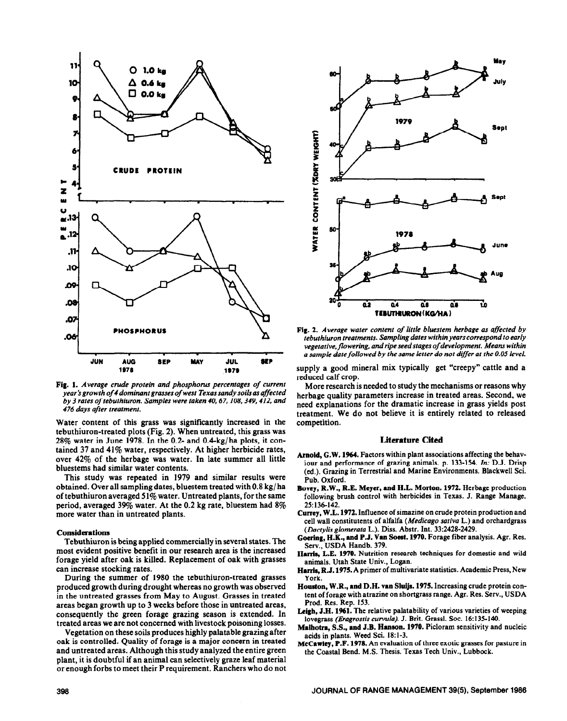

Fig. 1. *Average crude protein and phosphorus percentages of current year's growth of 4 dominant grasses of west Texas sandy soils as affected by 3 rates of tebuthiuron. Samples were taken 40,67,10& 349,412. and 476 &ys after treatment.* 

Water content of this grass was significantly increased in the tebuthiuron-treated plots (Fig. 2). When untreated, this grass was  $28\%$  water in June 1978. In the 0.2- and 0.4-kg/ha plots, it contained 37 and 41% water, respectively. At higher herbicide rates, over 42% of the herbage was water. In late summer all little bluestems had similar water contents.

This study was repeated in 1979 and similar results were obtained. Over all sampling dates, bluestem treated with 0.8 kg/ ha of tebuthiuron averaged 51% water. Untreated plants, for the same period, averaged 39% water. At the 0.2 kg rate, bluestem had 8% more water than in untreated plants.

# **Considerations**

Tebuthiuron is being applied commercially in several states. The most evident positive benefit in our research area is the increased forage yield after oak is killed. Replacement of oak with grasses can increase stocking rates.

During the summer of 1980 the tebuthiuron-treated grasses produced growth during drought whereas no growth was observed in the untreated grasses from May to August. Grasses in treated areas began growth up to 3 weeks before those in untreated areas, consequently the green forage grazing season is extended. In treated areas we are not concerned with livestock poisoning losses.

Vegetation on these soils produces highly palatable grazing after oak is controlled. Quality of forage is a major concern in treated and untreated areas. Although this study analyzed the entire green plant, it is doubtful ifan animal can selectively graze leaf material or enough forbs to meet their P requirement. Ranchers who do not



**Fig. 2.** *Average water content of little bluestem herbage as affected by tebuthiuron treatments. Sampling dates within years correspond to early*  vegetative, *flowering, and* **ripe** *seed stages of development. Meanr within a sample datefollowed by the same letter do not doffer at the 0.05 level.* 

supply a good mineral mix typically get "creepy" cattle and a reduced calf crop.

More research is needed to study the mechanisms or reasons why herbage quality parameters increase in treated areas. Second, we need explanations for the dramatic increase in grass yields post treatment. We do not believe it is entirely related to released competition.

#### **Literature Cited**

- Arnold, G.W. 1964. **Factors** within plant associations affecting the behaviour and performance of grazing animals. p. 133-154. In: D.J. Drisp (ed.). Grazing **in Terrestrial and Marine Environments. Blackwell Sci. Pub. Oxford.**
- Bovey, R.W., R.E. Meyer, and H.L. Morton. 1972. **Herbage production following brush control with herbicides in Texas. J. Range Manage. 25:136-142.**
- **Currey,** W.L. 1972. **Influence of simazine on crude protein production and cell wall constitutents of alfalfa** *(Medicago saliva* **L.)** and orchardgrass *(Dactylis glomerata* **L.). Diss. Abstr. Int. 33~2428-2429.**
- Goering, **H.K.,** and **P.J. Van Soest. 1970. Forage fiber analysis. Agr. Res. Serv., USDA Handb. 379.**
- **Harris, L.E.** 1970. **Nutrition research techniques for domestic and wild animals. Utah State Univ., Logan.**
- **Harris, R.J. 1975. A primer of multivariate statistics. Academic Press, New York.**
- Houston, W.R., and D.H. van Sluijs. 1975. **Increasing crude protein content of forage with atrazine on shortgrass range. Agr. Res. Serv., USDA Prod. Res. Rep. 153.**
- Leigh, J.H. 1961. The **relative palatability of various varieties of weeping**  lovegrass (Eragrostis curvula). J. Brit. Grassl. Soc. 16:135-140.
- **Maihotra, S.S.,** and J.B. Hanson. 1970. **Picloram sensitivity and nucleic acids in plants. Weed Sci. 18: l-3.**
- **McCawley,** P.F. 1978. **An evaluation of three exotic grasses for pasture in the Coastal Bend. M.S. Thesis. Texas Tech Univ., Lubbock.**